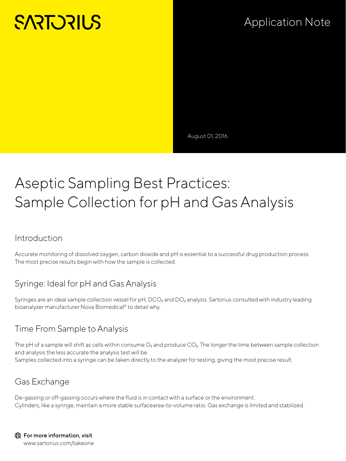# **SARTORILS**

## Application Note

August 01, 2016

## Aseptic Sampling Best Practices: Sample Collection for pH and Gas Analysis

#### Introduction

Accurate monitoring of dissolved oxygen, carbon dioxide and pH is essential to a successful drug production process. The most precise results begin with how the sample is collected.

#### Syringe: Ideal for pH and Gas Analysis

Syringes are an ideal sample collection vessel for pH, DCO<sub>2</sub> and DO<sub>2</sub> analysis. Sartorius consulted with industry leading bioanalyzer manufacturer Nova Biomedical® to detail why.

#### Time From Sample to Analysis

The pH of a sample will shift as cells within consume  $O_2$  and produce  $CO_2$ . The longer the time between sample collection and analysis the less accurate the analysis test will be. Samples collected into a syringe can be taken directly to the analyzer for testing, giving the most precise result.

#### Gas Exchange

De-gassing or off-gassing occurs where the fluid is in contact with a surface or the environment. Cylinders, like a syringe, maintain a more stable surfacearea-to-volume ratio. Gas exchange is limited and stabilized.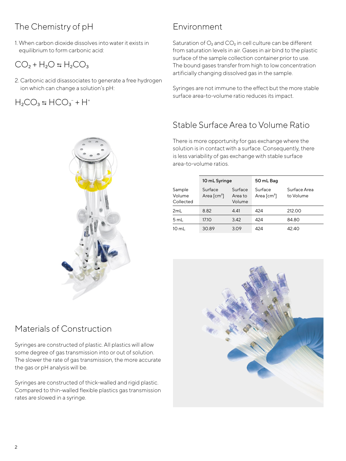### The Chemistry of pH

1. When carbon dioxide dissolves into water it exists in equilibrium to form carbonic acid:

### $CO<sub>2</sub> + H<sub>2</sub>O = H<sub>2</sub>CO<sub>3</sub>$

2. Carbonic acid disassociates to generate a free hydrogen ion which can change a solution's pH:

 $H_2CO_3 \leftrightarrows HCO_3^- + H^+$ 

#### Environment

Saturation of  $O_2$  and  $CO_2$  in cell culture can be different from saturation levels in air. Gases in air bind to the plastic surface of the sample collection container prior to use. The bound gases transfer from high to low concentration artificially changing dissolved gas in the sample.

Syringes are not immune to the effect but the more stable surface area-to-volume ratio reduces its impact.

#### Stable Surface Area to Volume Ratio

There is more opportunity for gas exchange where the solution is in contact with a surface. Consequently, there is less variability of gas exchange with stable surface area-to-volume ratios.

|                               | 10 mL Syringe                                     |                              | 50 mL Bag                                         |                           |
|-------------------------------|---------------------------------------------------|------------------------------|---------------------------------------------------|---------------------------|
| Sample<br>Volume<br>Collected | Surface<br>Area $\lceil$ cm <sup>2</sup> $\rceil$ | Surface<br>Area to<br>Volume | Surface<br>Area $\lceil$ cm <sup>2</sup> $\rceil$ | Surface Area<br>to Volume |
| 2mL                           | 8.82                                              | 4.41                         | 424                                               | 212.00                    |
| 5 mL                          | 17.10                                             | 3.42                         | 424                                               | 84.80                     |
| $10 \text{ mL}$               | 30.89                                             | 3.09                         | 424                                               | 42.40                     |



Syringes are constructed of plastic. All plastics will allow some degree of gas transmission into or out of solution. The slower the rate of gas transmission, the more accurate the gas or pH analysis will be.

Syringes are constructed of thick-walled and rigid plastic. Compared to thin-walled flexible plastics gas transmission rates are slowed in a syringe.



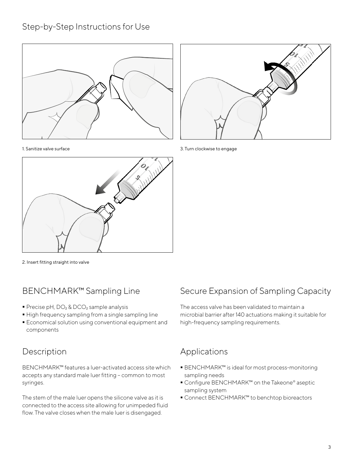#### Step-by-Step Instructions for Use





1. Sanitize valve surface



3. Turn clockwise to engage

2. Insert fitting straight into valve

#### BENCHMARK™ Sampling Line

- Precise pH, DO<sub>2</sub> & DCO<sub>2</sub> sample analysis
- $\blacksquare$  High frequency sampling from a single sampling line
- Economical solution using conventional equipment and components

#### Description

BENCHMARK™ features a luer-activated access site which accepts any standard male luer fitting – common to most syringes.

The stem of the male luer opens the silicone valve as it is connected to the access site allowing for unimpeded fluid flow. The valve closes when the male luer is disengaged.

#### Secure Expansion of Sampling Capacity

The access valve has been validated to maintain a microbial barrier after 140 actuations making it suitable for high-frequency sampling requirements.

#### Applications

- BENCHMARK™ is ideal for most process-monitoring sampling needs
- Configure BENCHMARK™ on the Takeone® aseptic sampling system
- Connect BENCHMARK™ to benchtop bioreactors